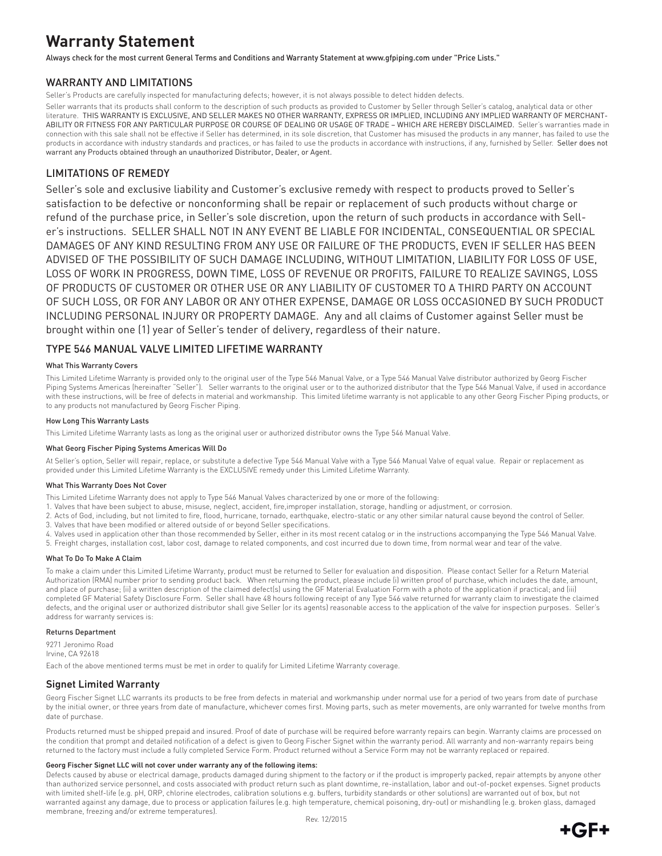# **Warranty Statement**

Always check for the most current General Terms and Conditions and Warranty Statement at www.gfpiping.com under "Price Lists."

## WARRANTY AND LIMITATIONS

Seller's Products are carefully inspected for manufacturing defects; however, it is not always possible to detect hidden defects.

Seller warrants that its products shall conform to the description of such products as provided to Customer by Seller through Seller's catalog, analytical data or other literature. THIS WARRANTY IS EXCLUSIVE, AND SELLER MAKES NO OTHER WARRANTY, EXPRESS OR IMPLIED, INCLUDING ANY IMPLIED WARRANTY OF MERCHANT-ABILITY OR FITNESS FOR ANY PARTICULAR PURPOSE OR COURSE OF DEALING OR USAGE OF TRADE – WHICH ARE HEREBY DISCLAIMED. Seller's warranties made in connection with this sale shall not be effective if Seller has determined, in its sole discretion, that Customer has misused the products in any manner, has failed to use the products in accordance with industry standards and practices, or has failed to use the products in accordance with instructions, if any, furnished by Seller. Seller does not warrant any Products obtained through an unauthorized Distributor, Dealer, or Agent.

## LIMITATIONS OF REMEDY

Seller's sole and exclusive liability and Customer's exclusive remedy with respect to products proved to Seller's satisfaction to be defective or nonconforming shall be repair or replacement of such products without charge or refund of the purchase price, in Seller's sole discretion, upon the return of such products in accordance with Seller's instructions. SELLER SHALL NOT IN ANY EVENT BE LIABLE FOR INCIDENTAL, CONSEQUENTIAL OR SPECIAL DAMAGES OF ANY KIND RESULTING FROM ANY USE OR FAILURE OF THE PRODUCTS, EVEN IF SELLER HAS BEEN ADVISED OF THE POSSIBILITY OF SUCH DAMAGE INCLUDING, WITHOUT LIMITATION, LIABILITY FOR LOSS OF USE, LOSS OF WORK IN PROGRESS, DOWN TIME, LOSS OF REVENUE OR PROFITS, FAILURE TO REALIZE SAVINGS, LOSS OF PRODUCTS OF CUSTOMER OR OTHER USE OR ANY LIABILITY OF CUSTOMER TO A THIRD PARTY ON ACCOUNT OF SUCH LOSS, OR FOR ANY LABOR OR ANY OTHER EXPENSE, DAMAGE OR LOSS OCCASIONED BY SUCH PRODUCT INCLUDING PERSONAL INJURY OR PROPERTY DAMAGE. Any and all claims of Customer against Seller must be brought within one (1) year of Seller's tender of delivery, regardless of their nature.

## TYPE 546 MANUAL VALVE LIMITED LIFETIME WARRANTY

#### What This Warranty Covers

This Limited Lifetime Warranty is provided only to the original user of the Type 546 Manual Valve, or a Type 546 Manual Valve distributor authorized by Georg Fischer Piping Systems Americas (hereinafter "Seller"). Seller warrants to the original user or to the authorized distributor that the Type 546 Manual Valve, if used in accordance with these instructions, will be free of defects in material and workmanship. This limited lifetime warranty is not applicable to any other Georg Fischer Piping products, or to any products not manufactured by Georg Fischer Piping.

#### How Long This Warranty Lasts

This Limited Lifetime Warranty lasts as long as the original user or authorized distributor owns the Type 546 Manual Valve.

#### What Georg Fischer Piping Systems Americas Will Do

At Seller's option, Seller will repair, replace, or substitute a defective Type 546 Manual Valve with a Type 546 Manual Valve of equal value. Repair or replacement as provided under this Limited Lifetime Warranty is the EXCLUSIVE remedy under this Limited Lifetime Warranty.

#### What This Warranty Does Not Cover

- This Limited Lifetime Warranty does not apply to Type 546 Manual Valves characterized by one or more of the following:
- 1. Valves that have been subject to abuse, misuse, neglect, accident, fire,improper installation, storage, handling or adjustment, or corrosion.
- 2. Acts of God, including, but not limited to fire, flood, hurricane, tornado, earthquake, electro-static or any other similar natural cause beyond the control of Seller.
- 3. Valves that have been modified or altered outside of or beyond Seller specifications.
- 4. Valves used in application other than those recommended by Seller, either in its most recent catalog or in the instructions accompanying the Type 546 Manual Valve.
- 5. Freight charges, installation cost, labor cost, damage to related components, and cost incurred due to down time, from normal wear and tear of the valve.

#### What To Do To Make A Claim

To make a claim under this Limited Lifetime Warranty, product must be returned to Seller for evaluation and disposition. Please contact Seller for a Return Material Authorization (RMA) number prior to sending product back. When returning the product, please include (i) written proof of purchase, which includes the date, amount, and place of purchase; (ii) a written description of the claimed defect(s) using the GF Material Evaluation Form with a photo of the application if practical; and (iii) completed GF Material Safety Disclosure Form. Seller shall have 48 hours following receipt of any Type 546 valve returned for warranty claim to investigate the claimed defects, and the original user or authorized distributor shall give Seller (or its agents) reasonable access to the application of the valve for inspection purposes. Seller's address for warranty services is:

#### Returns Department

9271 Jeronimo Road Irvine, CA 92618 Each of the above mentioned terms must be met in order to qualify for Limited Lifetime Warranty coverage.

### Signet Limited Warranty

Georg Fischer Signet LLC warrants its products to be free from defects in material and workmanship under normal use for a period of two years from date of purchase by the initial owner, or three years from date of manufacture, whichever comes first. Moving parts, such as meter movements, are only warranted for twelve months from date of purchase.

Products returned must be shipped prepaid and insured. Proof of date of purchase will be required before warranty repairs can begin. Warranty claims are processed on the condition that prompt and detailed notification of a defect is given to Georg Fischer Signet within the warranty period. All warranty and non-warranty repairs being returned to the factory must include a fully completed Service Form. Product returned without a Service Form may not be warranty replaced or repaired.

#### Georg Fischer Signet LLC will not cover under warranty any of the following items:

Defects caused by abuse or electrical damage, products damaged during shipment to the factory or if the product is improperly packed, repair attempts by anyone other than authorized service personnel, and costs associated with product return such as plant downtime, re-installation, labor and out-of-pocket expenses. Signet products with limited shelf-life (e.g. pH, ORP, chlorine electrodes, calibration solutions e.g. buffers, turbidity standards or other solutions) are warranted out of box, but not warranted against any damage, due to process or application failures (e.g. high temperature, chemical poisoning, dry-out) or mishandling (e.g. broken glass, damaged membrane, freezing and/or extreme temperatures).